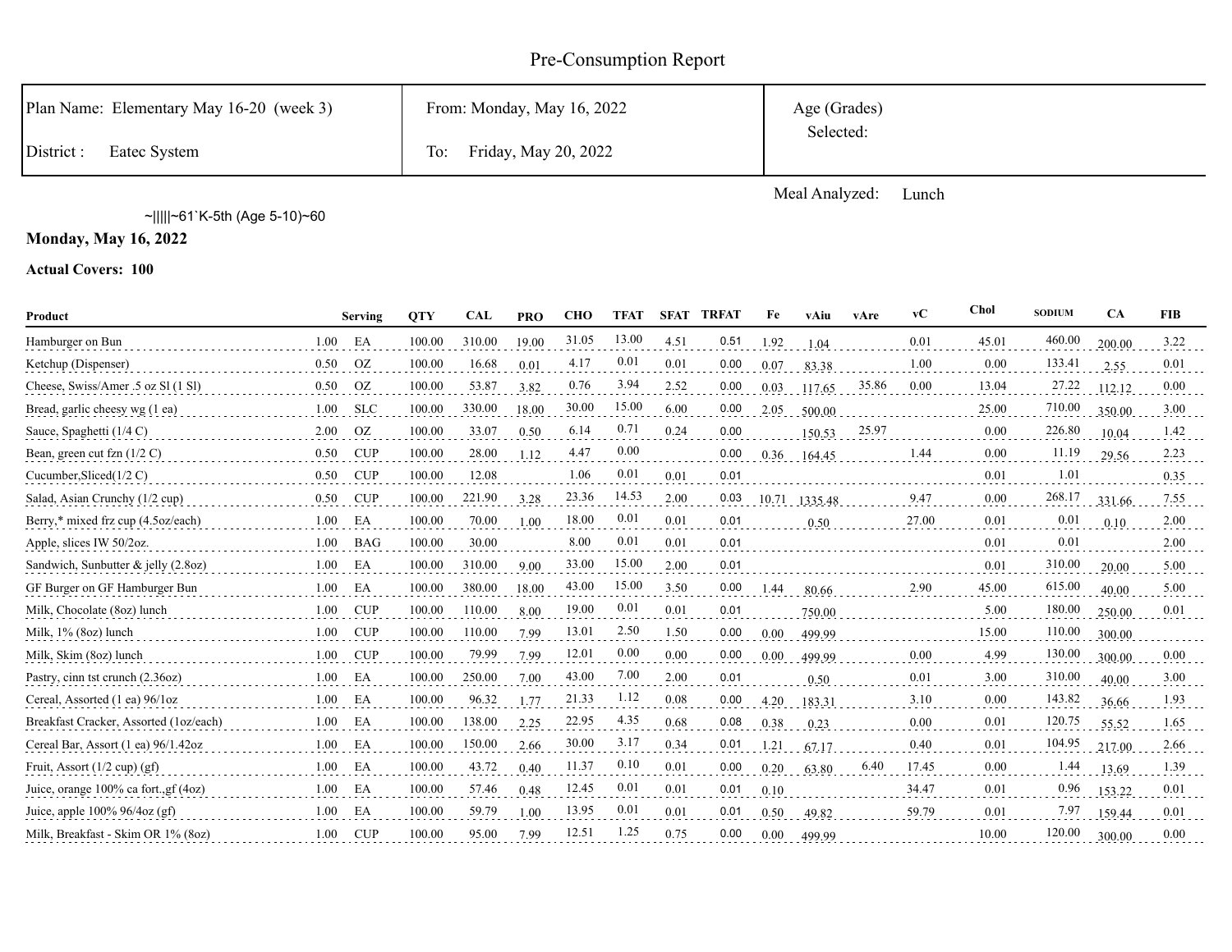# Pre-Consumption Report

| Plan Name: Elementary May 16-20 (week 3) | From: Monday, May 16, 2022  | Age (Grades) |
|------------------------------------------|-----------------------------|--------------|
| District:<br>Eatec System                | Friday, May 20, 2022<br>To: | Selected:    |

Meal Analyzed: Lunch

~|||||~61`K-5th (Age 5-10)~60

**Monday, May 16, 2022**

| Product                                |      | Serving    | <b>OTY</b> | <b>CAL</b> | <b>PRO</b> | <b>CHO</b> | <b>TFAT</b> |      | <b>SFAT TRFAT</b> | Fe    | vAiu    | vAre  | $\bf v$ C | Chol  | <b>SODIUM</b> | <b>CA</b> | <b>FIB</b> |
|----------------------------------------|------|------------|------------|------------|------------|------------|-------------|------|-------------------|-------|---------|-------|-----------|-------|---------------|-----------|------------|
| Hamburger on Bun                       | 1.00 | EA         | 100.00     | 310.00     | 19.00      | 31.05      | 13.00       | 4.51 | 0.51              | 1.92  | 1.04    |       | 0.01      | 45.01 | 460.00        | 200.00    | 3.22       |
| Ketchup (Dispenser)                    | 0.50 | OZ         | 100.00     | 16.68      | 0.01       | 4.17       | 0.01        | 0.01 | 0.00              | 0.07  | 83.38   |       | 1.00      | 0.00  | 133.41        | 2.55      | 0.01       |
| Cheese, Swiss/Amer .5 oz Sl (1 Sl)     | 0.50 | OZ.        | 100.00     | 53.87      | 3.82       | 0.76       | 3.94        | 2.52 | 0.00              | 0.03  | 117.65  | 35.86 | 0.00      | 13.04 | 27.22         | 112.12    | 0.00       |
| Bread, garlic cheesy wg (1 ea)         | 1.00 | <b>SLC</b> | 100.00     | 330.00     | 18.00      | 30.00      | 15.00       | 6.00 | 0.00              | 2.05  | 500.00  |       |           | 25.00 | 710.00        | 350.00    | 3.00       |
| Sauce, Spaghetti (1/4 C)               | 2.00 | <b>OZ</b>  | 100.00     | 33.07      | 0.50       | 6.14       | 0.71        | 0.24 | 0.00              |       | 150.53  | 25.97 |           | 0.00  | 226.80        | 10.04     | 1.42       |
| Bean, green cut fzn $(1/2 C)$          | 0.50 | <b>CUP</b> | 100.00     | 28.00      | 1.12       | 4.47       | 0.00        |      | 0.00              | 0.36  | 164.45  |       | 1.44      | 0.00  | 11.19         | 29.56     | 2.23       |
| Cucumber, Sliced(1/2 C)                | 0.50 | <b>CUP</b> | 100.00     | 12.08      |            | 1.06       | 0.01        | 0.01 | 0.01              |       |         |       |           | 0.01  | 1.01          |           | 0.35       |
| Salad, Asian Crunchy (1/2 cup)         | 0.50 | <b>CUP</b> | 100.00     | 221.90     | 3.28       | 23.36      | 14.53       | 2.00 | 0.03              | 10.71 | 1335.48 |       | 9.47      | 0.00  | 268.17        | 331.66    | 7.55       |
| Berry,* mixed frz cup (4.5oz/each)     | 1.00 | EA         | 100.00     | 70.00      | 1.00       | 18.00      | 0.01        | 0.01 | 0.01              |       | 0.50    |       | 27.00     | 0.01  | 0.01          | 0.10      | 2.00       |
| Apple, slices IW 50/2oz.               | 1.00 | <b>BAG</b> | 100.00     | 30.00      |            | 8.00       | 0.01        | 0.01 | 0.01              |       |         |       |           | 0.01  | 0.01          |           | 2.00       |
| Sandwich, Sunbutter & jelly (2.8oz)    | 1.00 | EA         | 100.00     | 310.00     | 9.00       | 33.00      | 15.00       | 2.00 | 0.01              |       |         |       |           | 0.01  | 310.00        | 20.00     | 5.00       |
| GF Burger on GF Hamburger Bun          | 1.00 | EA         | 100.00     | 380.00     | 18.00      | 43.00      | 15.00       | 3.50 | 0.00              | 1.44  | 80.66   |       | 2.90      | 45.00 | 615.00        | 40.00     | 5.00       |
| Milk, Chocolate (8oz) lunch            | 1.00 | CUP        | 100.00     | 110.00     | 8.00       | 19.00      | 0.01        | 0.01 | 0.01              |       | 750.00  |       |           | 5.00  | 180.00        | 250.00    | 0.01       |
| Milk, 1% (8oz) lunch                   | 1.00 | <b>CUP</b> | 100.00     | 110.00     | 7.99       | 13.01      | 2.50        | 1.50 | 0.00              | 0.00  | 499.99  |       |           | 15.00 | 110.00        | 300.00    |            |
| Milk, Skim (8oz) lunch                 | 1.00 | <b>CUP</b> | 100.00     | 79.99      | 7.99       | 12.01      | 0.00        | 0.00 | 0.00              | 0.00  | 499.99  |       | 0.00      | 4.99  | 130.00        | 300.00    | 0.00       |
| Pastry, cinn tst crunch (2.36oz)       | 1.00 | EA         | 100.00     | 250.00     | 7.00       | 43.00      | 7.00        | 2.00 | 0.01              |       | 0.50    |       | 0.01      | 3.00  | 310.00        | 40.00     | 3.00       |
| Cereal, Assorted (1 ea) 96/1oz         | 1.00 | EA         | 100.00     | 96.32      | 1.77       | 21.33      | 1.12        | 0.08 | 0.00              | 4.20  | 183.31  |       | 3.10      | 0.00  | 143.82        | 36.66     | 1.93       |
| Breakfast Cracker, Assorted (1oz/each) | 1.00 | EA         | 100.00     | 138.00     | 2.25       | 22.95      | 4.35        | 0.68 | 0.08              | 0.38  | 0.23    |       | 0.00      | 0.01  | 120.75        | 55.52     | 1.65       |
| Cereal Bar, Assort (1 ea) 96/1.42oz    | 1.00 | EA         | 100.00     | 150.00     | 2.66       | 30.00      | 3.17        | 0.34 | 0.01              | 1.21  | 67.17   |       | 0.40      | 0.01  | 104.95        | 217.00    | 2.66       |
| Fruit, Assort $(1/2 \text{ cup}) (gf)$ | 1.00 | EA         | 100.00     | 43.72      | 0.40       | 11.37      | 0.10        | 0.01 | 0.00              | 0.20  | 63.80   | 6.40  | 17.45     | 0.00  | 1.44          | 13.69     | 1.39       |
| Juice, orange 100% ca fort., gf (4oz)  | 1.00 | EA         | 100.00     | 57.46      | 0.48       | 12.45      | 0.01        | 0.01 | 0.01              | 0.10  |         |       | 34.47     | 0.01  | 0.96          | 153.22    | 0.01       |
| Juice, apple $100\%$ 96/4oz (gf)       | 1.00 | EA         | 100.00     | 59.79      | 1.00       | 13.95      | 0.01        | 0.01 | 0.01              | 0.50  | 49.82   |       | 59.79     | 0.01  | 7.97          | 159.44    | 0.01       |
| Milk, Breakfast - Skim OR 1% (80z)     | 1.00 | <b>CUP</b> | 100.00     | 95.00      | 7.99       | 12.51      | 1.25        | 0.75 | 0.00              | 0.00  | 499.99  |       |           | 10.00 | 120.00        | 300.00    | 0.00       |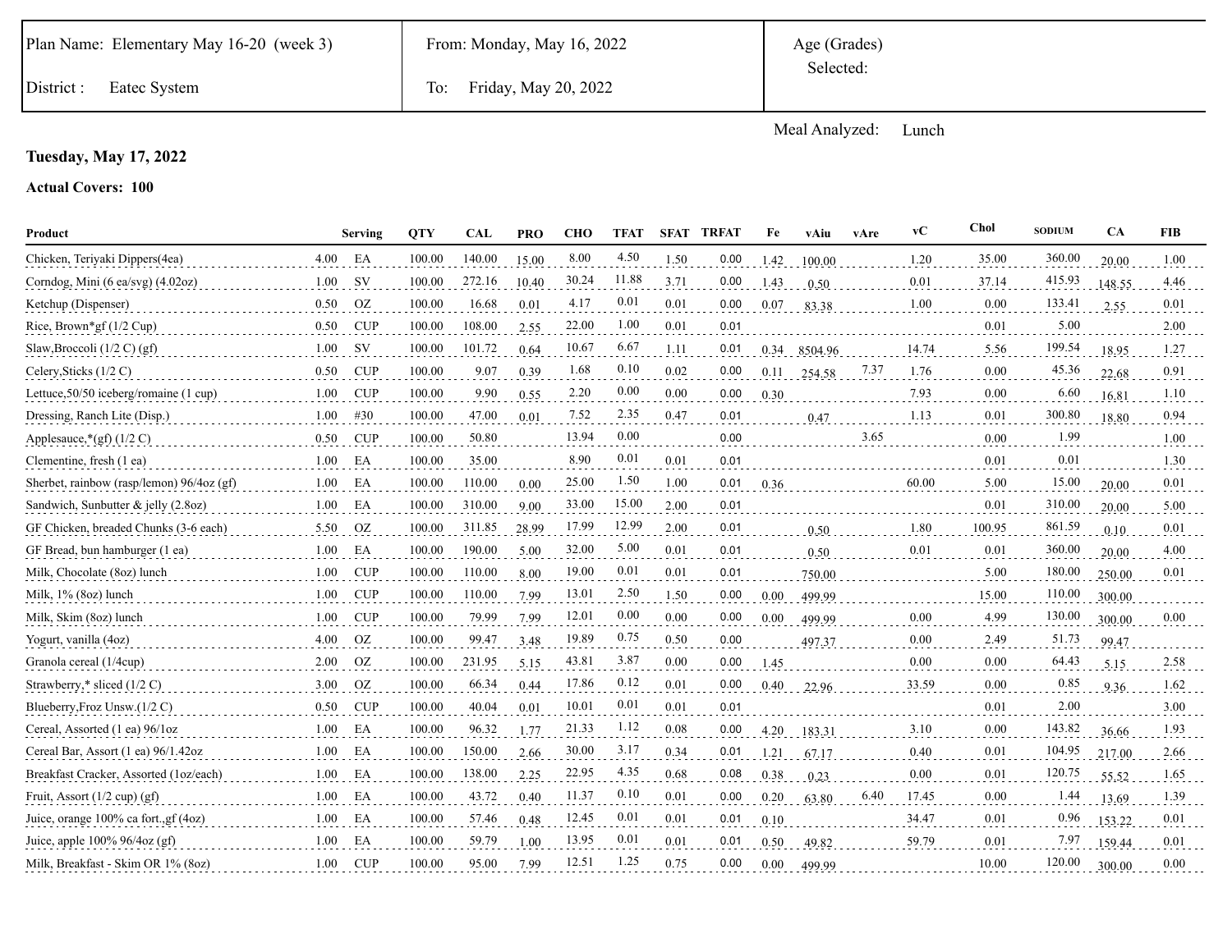District : Eatec System To: Friday, May 20, 2022

Meal Analyzed: Lunch

### **Tuesday, May 17, 2022**

| Product                                   |      | Serving    | <b>OTY</b> | CAL    | <b>PRO</b> | <b>CHO</b> | <b>TFAT</b> | <b>SFAT</b> | <b>TRFAT</b> | Fe       | vAiu    | vAre | vC    | <b>Chol</b> | <b>SODIUM</b> | CA     | <b>FIB</b> |
|-------------------------------------------|------|------------|------------|--------|------------|------------|-------------|-------------|--------------|----------|---------|------|-------|-------------|---------------|--------|------------|
| Chicken, Teriyaki Dippers(4ea)            | 4.00 | EA         | 100.00     | 140.00 | 15.00      | 8.00       | 4.50        | 1.50        | 0.00         | 1.42     | 100.00  |      | 1.20  | 35.00       | 360.00        | 20.00  | 1.00       |
| Corndog, Mini (6 ea/svg) (4.02oz)         | 1.00 | <b>SV</b>  | 100.00     | 272.16 | 10.40      | 30.24      | 11.88       | 3.71        | 0.00         | 1.43     | 0.50    |      | 0.01  | 37.14       | 415.93        | 148.55 | 4.46       |
| Ketchup (Dispenser)                       | 0.50 | OZ         | 100.00     | 16.68  | 0.01       | 4.17       | 0.01        | 0.01        | 0.00         | 0.07     | 83.38   |      | 1.00  | 0.00        | 133.41        | 2.55   | 0.01       |
| Rice, Brown*gf $(1/2 \text{ Cup})$        | 0.50 | <b>CUP</b> | 100.00     | 108.00 | 2.55       | 22.00      | 1.00        | 0.01        | 0.01         |          |         |      |       | 0.01        | 5.00          |        | 2.00       |
| Slaw, Broccoli $(1/2 C)$ (gf)             | 1.00 | SV.        | 100.00     | 101.72 | 0.64       | 10.67      | 6.67        | 1.11        | 0.01         | 0.34     | 8504.96 |      | 14.74 | 5.56        | 199.54        | 18.95  | 1.27       |
| Celery, Sticks (1/2 C)                    | 0.50 | <b>CUP</b> | 100.00     | 9.07   | 0.39       | 1.68       | 0.10        | 0.02        | 0.00         | 0.11     | 254.58  | 7.37 | 1.76  | 0.00        | 45.36         | 22.68  | 0.91       |
| Lettuce, 50/50 iceberg/romaine (1 cup)    | 1.00 | <b>CUP</b> | 100.00     | 9.90   | 0.55       | 2.20       | 0.00        | 0.00        | 0.00         | 0.30     |         |      | 7.93  | 0.00        | 6.60          | 16.81  | 1.10       |
| Dressing, Ranch Lite (Disp.)              | 1.00 | #30        | 100.00     | 47.00  | 0.01       | 7.52       | 2.35        | 0.47        | 0.01         |          | 0.47    |      | 1.13  | 0.01        | 300.80        | 18.80  | 0.94       |
| Applesauce, $*(gf)$ (1/2 C)               | 0.50 | <b>CUP</b> | 100.00     | 50.80  |            | 13.94      | 0.00        |             | 0.00         |          |         | 3.65 |       | 0.00        | 1.99          |        | 1.00       |
| Clementine, fresh (1 ea)                  | 1.00 | EA         | 100.00     | 35.00  |            | 8.90       | 0.01        | 0.01        | 0.01         |          |         |      |       | 0.01        | 0.01          |        | 1.30       |
| Sherbet, rainbow (rasp/lemon) 96/4oz (gf) | 1.00 | EA         | 100.00     | 110.00 | 0.00       | 25.00      | 1.50        | 1.00        | 0.01         | 0.36     |         |      | 60.00 | 5.00        | 15.00         | 20.00  | 0.01       |
| Sandwich, Sunbutter & jelly $(2.8oz)$     | 1.00 | EA         | 100.00     | 310.00 | 9.00       | 33.00      | 15.00       | 2.00        | 0.01         |          |         |      |       | 0.01        | 310.00        | 20.00  | 5.00       |
| GF Chicken, breaded Chunks (3-6 each)     | 5.50 | OZ         | 100.00     | 311.85 | 28.99      | 17.99      | 12.99       | 2.00        | 0.01         |          | 0.50    |      | 1.80  | 100.95      | 861.59        | 0.10   | 0.01       |
| GF Bread, bun hamburger (1 ea)            | 1.00 | EA         | 100.00     | 190.00 | 5.00       | 32.00      | 5.00        | 0.01        | 0.01         |          | 0.50    |      | 0.01  | 0.01        | 360.00        | 20.00  | 4.00       |
| Milk, Chocolate (8oz) lunch               | 1.00 | <b>CUP</b> | 100.00     | 110.00 | 8.00       | 19.00      | 0.01        | 0.01        | 0.01         |          | 750.00  |      |       | 5.00        | 180.00        | 250.00 | 0.01       |
| Milk, 1% (8oz) lunch                      | 1.00 | <b>CUP</b> | 100.00     | 110.00 | 7.99       | 13.01      | 2.50        | 1.50        | 0.00         | $0.00\,$ | 499.99  |      |       | 15.00       | 110.00        | 300.00 |            |
| Milk, Skim (8oz) lunch                    | 1.00 | <b>CUP</b> | 100.00     | 79.99  | 7.99       | 12.01      | 0.00        | 0.00        | 0.00         | 0.00     | 499.99  |      | 0.00  | 4.99        | 130.00        | 300.00 | 0.00       |
| Yogurt, vanilla (4oz)                     | 4.00 | OZ         | 100.00     | 99.47  | 3.48       | 19.89      | 0.75        | 0.50        | 0.00         |          | 497.37  |      | 0.00  | 2.49        | 51.73         | 99.47  |            |
| Granola cereal (1/4cup)                   | 2.00 | <b>OZ</b>  | 100.00     | 231.95 | 5.15       | 43.81      | 3.87        | 0.00        | 0.00         | 1.45     |         |      | 0.00  | 0.00        | 64.43         | 5.15   | 2.58       |
| Strawberry,* sliced (1/2 C)               | 3.00 | OZ         | 100.00     | 66.34  | 0.44       | 17.86      | 0.12        | 0.01        | 0.00         | 0.40     | 22.96   |      | 33.59 | 0.00        | 0.85          | 9.36   | 1.62       |
| Blueberry, Froz Unsw.(1/2 C)              | 0.50 | <b>CUP</b> | 100.00     | 40.04  | 0.01       | 10.01      | 0.01        | 0.01        | 0.01         |          |         |      |       | 0.01        | 2.00          |        | 3.00       |
| Cereal, Assorted (1 ea) 96/1oz            | 1.00 | EA         | 100.00     | 96.32  | 1.77       | 21.33      | 1.12        | 0.08        | 0.00         | 4.20     | 183.31  |      | 3.10  | 0.00        | 143.82        | 36.66  | 1.93       |
| Cereal Bar, Assort (1 ea) 96/1.42oz       | 1.00 | EA         | 100.00     | 150.00 | 2.66       | 30.00      | 3.17        | 0.34        | 0.01         | 1.21     | 67.17   |      | 0.40  | 0.01        | 104.95        | 217.00 | 2.66       |
| Breakfast Cracker, Assorted (1oz/each)    | 1.00 | EA         | 100.00     | 138.00 | 2.25       | 22.95      | 4.35        | 0.68        | 0.08         | 0.38     | 0.23    |      | 0.00  | 0.01        | 120.75        | 55.52  | 1.65       |
| Fruit, Assort $(1/2 \text{ cup}) (gf)$    | 1.00 | EA         | 100.00     | 43.72  | 0.40       | 11.37      | 0.10        | 0.01        | 0.00         | 0.20     | 63.80   | 6.40 | 17.45 | 0.00        | 1.44          | 13.69  | 1.39       |
| Juice, orange 100% ca fort., gf (4oz)     | 1.00 | EA         | 100.00     | 57.46  | 0.48       | 12.45      | 0.01        | 0.01        | 0.01         | 0.10     |         |      | 34.47 | 0.01        | 0.96          | 153.22 | 0.01       |
| Juice, apple $100\%$ 96/4oz (gf)          | 1.00 | EA         | 100.00     | 59.79  | 1.00       | 13.95      | 0.01        | 0.01        | 0.01         | 0.50     | 49.82   |      | 59.79 | 0.01        | 7.97          | 159.44 | 0.01       |
| Milk, Breakfast - Skim OR 1% (80z)        | 1.00 | <b>CUP</b> | 100.00     | 95.00  | 7.99       | 12.51      | 1.25        | 0.75        | 0.00         | 0.00     | 499.99  |      |       | 10.00       | 120.00        | 300.00 | 0.00       |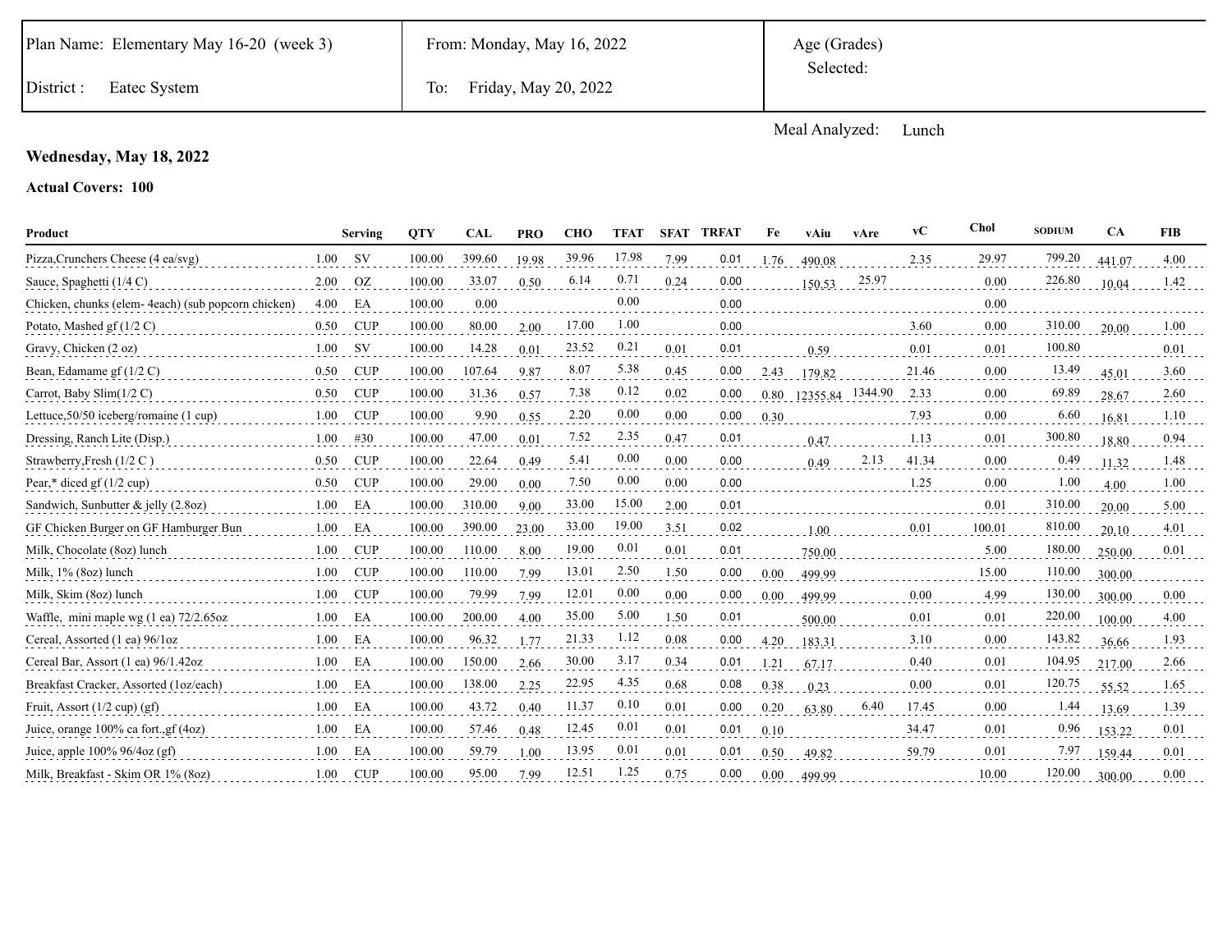Meal Analyzed: Lunch

### **Wednesday, May 18, 2022**

| Product                                            |      | <b>Serving</b> | <b>OTY</b> | <b>CAL</b> | <b>PRO</b> | <b>CHO</b> | <b>TFAT</b> | <b>SFAT</b> | <b>TRFAT</b> | Fe   | vAiu             | vAre  | vC    | Chol   | <b>SODIUM</b> | CA     | <b>FIB</b> |
|----------------------------------------------------|------|----------------|------------|------------|------------|------------|-------------|-------------|--------------|------|------------------|-------|-------|--------|---------------|--------|------------|
| Pizza, Crunchers Cheese (4 ea/svg)                 | 1.00 | <b>SV</b>      | 100.00     | 399.60     | 19.98      | 39.96      | 17.98       | 7.99        | 0.01         | 1.76 | 490.08           |       | 2.35  | 29.97  | 799.20        | 441.07 | 4.00       |
| Sauce, Spaghetti (1/4 C)                           | 2.00 | <b>OZ</b>      | 100.00     | 33.07      | 0.50       | 6.14       | 0.71        | 0.24        | 0.00         |      | 150.53           | 25.97 |       | 0.00   | 226.80        | 10.04  | 1.42       |
| Chicken, chunks (elem-4each) (sub popcorn chicken) | 4.00 | EA             | 100.00     | 0.00       |            |            | 0.00        |             | 0.00         |      |                  |       |       | 0.00   |               |        |            |
| Potato, Mashed gf $(1/2 C)$                        | 0.50 | <b>CUP</b>     | 100.00     | 80.00      | 2.00       | 17.00      | 1.00        |             | 0.00         |      |                  |       | 3.60  | 0.00   | 310.00        | 20.00  | 1.00       |
| Gravy, Chicken (2 oz)                              | 1.00 | <b>SV</b>      | 100.00     | 14.28      | 0.01       | 23.52      | 0.21        | 0.01        | 0.01         |      | 0.59             |       | 0.01  | 0.01   | 100.80        |        | 0.01       |
| Bean, Edamame gf $(1/2 C)$                         | 0.50 | <b>CUP</b>     | 100.00     | 107.64     | 9.87       | 8.07       | 5.38        | 0.45        | 0.00         | 2.43 | 179.82           |       | 21.46 | 0.00   | 13.49         | 45.01  | 3.60       |
| Carrot, Baby Slim $(1/2 C)$                        | 0.50 | <b>CUP</b>     | 100.00     | 31.36      | 0.57       | 7.38       | 0.12        | 0.02        | 0.00         | 0.80 | 12355.84 1344.90 |       | 2.33  | 0.00   | 69.89         | 28.67  | 2.60       |
| Lettuce, $50/50$ iceberg/romaine (1 cup)           | 1.00 | <b>CUP</b>     | 100.00     | 9.90       | 0.55       | 2.20       | 0.00        | 0.00        | 0.00         | 0.30 |                  |       | 7.93  | 0.00   | 6.60          | 16.81  | 1.10       |
| Dressing, Ranch Lite (Disp.)                       | 1.00 | #30            | 100.00     | 47.00      | 0.01       | 7.52       | 2.35        | 0.47        | 0.01         |      | 0.47             |       | 1.13  | 0.01   | 300.80        | 18.80  | 0.94       |
| Strawberry, Fresh (1/2 C)                          | 0.50 | <b>CUP</b>     | 100.00     | 22.64      | 0.49       | 5.41       | 0.00        | 0.00        | 0.00         |      | 0.49             | 2.13  | 41.34 | 0.00   | 0.49          | 11.32  | 1.48       |
| Pear,* diced gf $(1/2$ cup)                        | 0.50 | <b>CUP</b>     | 100.00     | 29.00      | 0.00       | 7.50       | 0.00        | 0.00        | 0.00         |      |                  |       | 1.25  | 0.00   | 1.00          | 4.00   | 1.00       |
| Sandwich, Sunbutter & jelly (2.8oz)                | 1.00 | EA             | 100.00     | 310.00     | 9.00       | 33.00      | 15.00       | 2.00        | 0.01         |      |                  |       |       | 0.01   | 310.00        | 20.00  | 5.00       |
| GF Chicken Burger on GF Hamburger Bun              | 1.00 | EA             | 100.00     | 390.00     | 23.00      | 33.00      | 19.00       | 3.51        | 0.02         |      | 1.00             |       | 0.01  | 100.01 | 810.00        | 20.10  | 4.01       |
| Milk, Chocolate (8oz) lunch                        | 1.00 | <b>CUP</b>     | 100.00     | 110.00     | 8.00       | 19.00      | 0.01        | 0.01        | 0.01         |      | 750.00           |       |       | 5.00   | 180.00        | 250.00 | 0.01       |
| Milk, 1% (8oz) lunch                               | 1.00 | <b>CUP</b>     | 100.00     | 110.00     | 7.99       | 13.01      | 2.50        | 1.50        | 0.00         | 0.00 | 499.99           |       |       | 15.00  | 110.00        | 300.00 |            |
| Milk, Skim (8oz) lunch                             | 1.00 | <b>CUP</b>     | 100.00     | 79.99      | 7.99       | 12.01      | 0.00        | 0.00        | 0.00         | 0.00 | 499.99           |       | 0.00  | 4.99   | 130.00        | 300.00 | 0.00       |
| Waffle, mini maple wg (1 ea) 72/2.65oz             | 1.00 | EA             | 100.00     | 200.00     | 4.00       | 35.00      | 5.00        | 1.50        | 0.01         |      | 500.00           |       | 0.01  | 0.01   | 220.00        | 100.00 | 4.00       |
| Cereal, Assorted (1 ea) 96/1oz                     | 1.00 | EA             | 100.00     | 96.32      | 1.77       | 21.33      | 1.12        | 0.08        | 0.00         | 4.20 | 183.31           |       | 3.10  | 0.00   | 143.82        | 36.66  | 1.93       |
| Cereal Bar, Assort (1 ea) 96/1.42oz                | 1.00 | EA             | 100.00     | 150.00     | 2.66       | 30.00      | 3.17        | 0.34        | 0.01         | 1.21 | 67.17            |       | 0.40  | 0.01   | 104.95        | 217.00 | 2.66       |
| Breakfast Cracker, Assorted (1oz/each)             | 1.00 | EA             | 100.00     | 138.00     | 2.25       | 22.95      | 4.35        | 0.68        | 0.08         | 0.38 | 0.23             |       | 0.00  | 0.01   | 120.75        | 55.52  | 1.65       |
| Fruit, Assort $(1/2 \text{ cup}) (gf)$             | 1.00 | EA             | 100.00     | 43.72      | 0.40       | 11.37      | 0.10        | 0.01        | 0.00         | 0.20 | 63.80            | 6.40  | 17.45 | 0.00   | 1.44          | 13.69  | 1.39       |
| Juice, orange 100% ca fort., gf (4oz)              | 1.00 | EA             | 100.00     | 57.46      | 0.48       | 12.45      | 0.01        | 0.01        | 0.01         | 0.10 |                  |       | 34.47 | 0.01   | 0.96          | 153.22 | 0.01       |
| Juice, apple $100\%$ 96/4oz (gf)                   | 1.00 | EA             | 100.00     | 59.79      | 1.00       | 13.95      | 0.01        | 0.01        | 0.01         | 0.50 | 49.82            |       | 59.79 | 0.01   | 7.97          | 159.44 | 0.01       |
| Milk, Breakfast - Skim OR 1% (80z)                 | 1.00 | <b>CUP</b>     | 100.00     | 95.00      | 7.99       | 12.51      | 1.25        | 0.75        | 0.00         | 0.00 | 499.99           |       |       | 10.00  | 120.00        | 300.00 | 0.00       |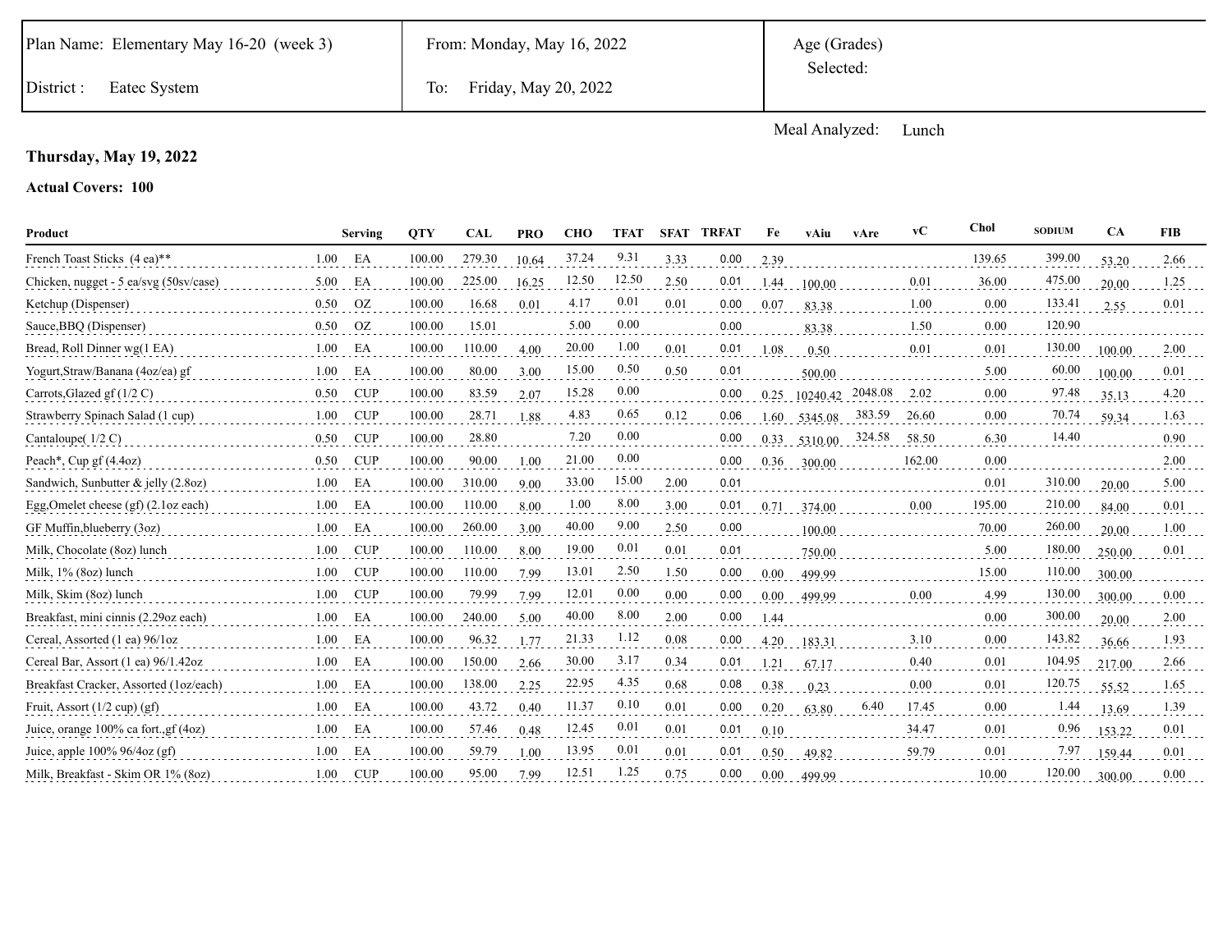District : Eatec System To: Friday, May 20, 2022

Meal Analyzed: Lunch

### **Thursday, May 19, 2022**

| Product                                |      | <b>Serving</b> | <b>QTY</b> | <b>CAL</b> | <b>PRO</b> | <b>CHO</b> | <b>TFAT</b> | <b>SFAT</b> | <b>TRFAT</b> | Fe       | vAiu     | vAre    | vC     | Chol   | <b>SODIUM</b> | <b>CA</b> | <b>FIB</b> |
|----------------------------------------|------|----------------|------------|------------|------------|------------|-------------|-------------|--------------|----------|----------|---------|--------|--------|---------------|-----------|------------|
| French Toast Sticks (4 ea)**           | 1.00 | EA             | 100.00     | 279.30     | 10.64      | 37.24      | 9.31        | 3.33        | 0.00         | 2.39     |          |         |        | 139.65 | 399.00        | 53.20     | 2.66       |
| Chicken, nugget - 5 ea/svg (50sv/case) | 5.00 | EA             | 100.00     | 225.00     | 16.25      | 12.50      | 12.50       | 2.50        | 0.01         | 1.44     | 100.00   |         | 0.01   | 36.00  | 475.00        | 20.00     | 1.25       |
| Ketchup (Dispenser)                    | 0.50 | <b>OZ</b>      | 100.00     | 16.68      | 0.01       | 4.17       | 0.01        | 0.01        | 0.00         | 0.07     | 83.38    |         | 1.00   | 0.00   | 133.41        | 2.55      | 0.01       |
| Sauce, BBQ (Dispenser)                 | 0.50 | <b>OZ</b>      | 100.00     | 15.01      |            | 5.00       | 0.00        |             | 0.00         |          | 83.38    |         | 1.50   | 0.00   | 120.90        |           |            |
| Bread, Roll Dinner wg(1 EA)            | 1.00 | EA             | 100.00     | 110.00     | 4.00       | 20.00      | 1.00        | 0.01        | 0.01         | 1.08     | 0.50     |         | 0.01   | 0.01   | 130.00        | 100.00    | 2.00       |
| Yogurt, Straw/Banana (4oz/ea) gf       | 1.00 | EA             | 100.00     | 80.00      | 3.00       | 15.00      | 0.50        | 0.50        | 0.01         |          | 500.00   |         |        | 5.00   | 60.00         | 100.00    | 0.01       |
| Carrots, Glazed gf $(1/2 C)$           | 0.50 | CUP            | 100.00     | 83.59      | 2.07       | 15.28      | 0.00        |             | 0.00         | 0.25     | 10240.42 | 2048.08 | 2.02   | 0.00   | 97.48         | 35.13     | 4.20       |
| Strawberry Spinach Salad (1 cup)       | 1.00 | CUP            | 100.00     | 28.71      | 1.88       | 4.83       | 0.65        | 0.12        | 0.06         | 1.60     | 5345.08  | 383.59  | 26.60  | 0.00   | 70.74         | 59.34     | 1.63       |
| Cantaloupe $(1/2 C)$                   | 0.50 | CUP            | 100.00     | 28.80      |            | 7.20       | $0.00\,$    |             | 0.00         | 0.33     | 5310.00  | 324.58  | 58.50  | 6.30   | 14.40         |           | 0.90       |
| Peach*, Cup gf $(4.4oz)$               | 0.50 | <b>CUP</b>     | 100.00     | 90.00      | 1.00       | 21.00      | 0.00        |             | 0.00         | 0.36     | 300.00   |         | 162.00 | 0.00   |               |           | 2.00       |
| Sandwich, Sunbutter & jelly (2.8oz)    | 1.00 | EA             | 100.00     | 310.00     | 9.00       | 33.00      | 15.00       | 2.00        | 0.01         |          |          |         |        | 0.01   | 310.00        | 20.00     | 5.00       |
| Egg, Omelet cheese $(gf)(2.1oz each)$  | 1.00 | EA             | 100.00     | 110.00     | 8.00       | 1.00       | 8.00        | 3.00        | 0.01         | 0.71     | 374.00   |         | 0.00   | 195.00 | 210.00        | 84.00     | 0.01       |
| GF Muffin, blueberry (3oz)             | 1.00 | EA             | 100.00     | 260.00     | 3.00       | 40.00      | 9.00        | 2.50        | 0.00         |          | 100.00   |         |        | 70.00  | 260.00        | 20.00     | 1.00       |
| Milk, Chocolate (80z) lunch            | 1.00 | CUP            | 100.00     | 110.00     | 8.00       | 19.00      | 0.01        | 0.01        | 0.01         |          | 750.00   |         |        | 5.00   | 180.00        | 250.00    | 0.01       |
| Milk, 1% (8oz) lunch                   | 1.00 | <b>CUP</b>     | 100.00     | 110.00     | 7.99       | 13.01      | 2.50        | 1.50        | 0.00         | $0.00\,$ | 499.99   |         |        | 15.00  | 110.00        | 300.00    |            |
| Milk, Skim (8oz) lunch                 | 1.00 | CUP            | 100.00     | 79.99      | 7.99       | 12.01      | 0.00        | 0.00        | 0.00         | 0.00     | 499.99   |         | 0.00   | 4.99   | 130.00        | 300.00    | 0.00       |
| Breakfast, mini cinnis (2.29oz each)   | 1.00 | EA             | 100.00     | 240.00     | 5.00       | 40.00      | 8.00        | 2.00        | 0.00         | 1.44     |          |         |        | 0.00   | 300.00        | 20.00     | 2.00       |
| Cereal, Assorted (1 ea) 96/1oz         | 1.00 | EA             | 100.00     | 96.32      | 1.77       | 21.33      | 1.12        | 0.08        | 0.00         | 4.20     | 183.31   |         | 3.10   | 0.00   | 143.82        | 36.66     | 1.93       |
| Cereal Bar, Assort (1 ea) 96/1.42oz    | 1.00 | EA             | 100.00     | 150.00     | 2.66       | 30.00      | 3.17        | 0.34        | 0.01         | 1.21     | 67.17    |         | 0.40   | 0.01   | 104.95        | 217.00    | 2.66       |
| Breakfast Cracker, Assorted (1oz/each) | 1.00 | EA             | 100.00     | 138.00     | 2.25       | 22.95      | 4.35        | 0.68        | 0.08         | 0.38     | 0.23     |         | 0.00   | 0.01   | 120.75        | 55.52     | 1.65       |
| Fruit, Assort $(1/2$ cup) $(gf)$       | 1.00 | EA             | 100.00     | 43.72      | 0.40       | 11.37      | 0.10        | 0.01        | 0.00         | 0.20     | 63.80    | 6.40    | 17.45  | 0.00   | 1.44          | 13.69     | 1.39       |
| Juice, orange 100% ca fort., gf (4oz)  | 1.00 | EA             | 100.00     | 57.46      | 0.48       | 12.45      | 0.01        | 0.01        | 0.01         | 0.10     |          |         | 34.47  | 0.01   | 0.96          | 153.22    | 0.01       |
| Juice, apple $100\%$ 96/4oz (gf)       | 1.00 | EA             | 100.00     | 59.79      | 1.00       | 13.95      | 0.01        | 0.01        | 0.01         | 0.50     | 49.82    |         | 59.79  | 0.01   | 7.97          | 159.44    | 0.01       |
| Milk, Breakfast - Skim OR 1% (80z)     | 1.00 | <b>CUP</b>     | 100.00     | 95.00      | 7.99       | 12.51      | 1.25        | 0.75        | 0.00         | 0.00     | 499.99   |         |        | 10.00  | 120.00        | 300.00    | 0.00       |